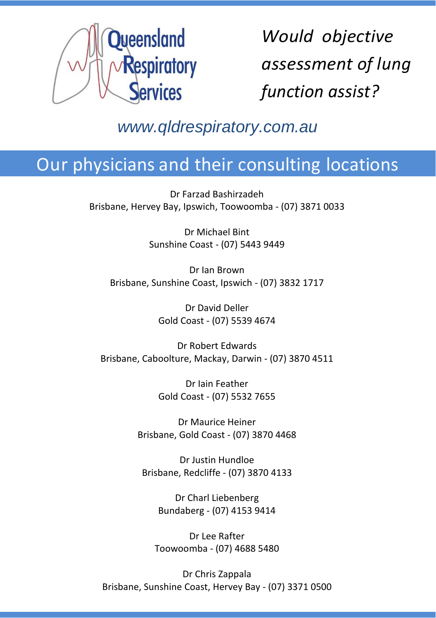

*Would objective assessment of lung function assist?*

## *www.qldrespiratory.com.au*

# Our physicians and their consulting locations

Dr Farzad Bashirzadeh Brisbane, Hervey Bay, Ipswich, Toowoomba - (07) 3871 0033

> Dr Michael Bint Sunshine Coast - (07) 5443 9449

Dr Ian Brown Brisbane, Sunshine Coast, Ipswich - (07) 3832 1717

> Dr David Deller Gold Coast - (07) 5539 4674

Dr Robert Edwards Brisbane, Caboolture, Mackay, Darwin - (07) 3870 4511

> Dr Iain Feather Gold Coast - (07) 5532 7655

Dr Maurice Heiner Brisbane, Gold Coast - (07) 3870 4468

Dr Justin Hundloe Brisbane, Redcliffe - (07) 3870 4133

> Dr Charl Liebenberg Bundaberg - (07) 4153 9414

Dr Lee Rafter Toowoomba - (07) 4688 5480

Dr Chris Zappala Brisbane, Sunshine Coast, Hervey Bay - (07) 3371 0500